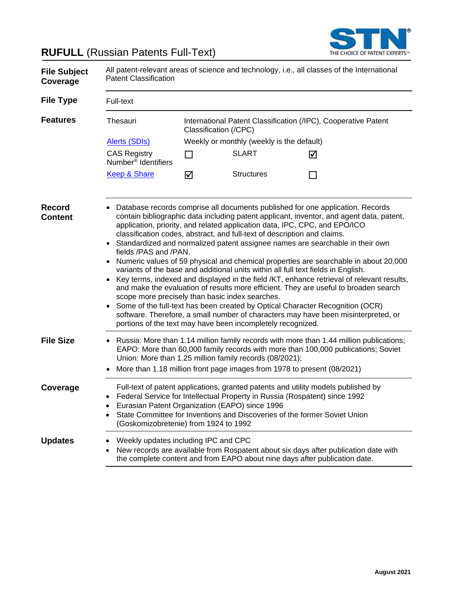



| <b>File Subject</b><br>Coverage | All patent-relevant areas of science and technology, i.e., all classes of the International<br><b>Patent Classification</b>                                                                                                                                                                                                             |                                                                                                                                                                                                                                                                                                                                                                                                                                                                                                                                                                                                                                                                                                                                                                                                                                                                                                                                                                                                                   |                       |                                                                                                                                                                   |  |  |  |
|---------------------------------|-----------------------------------------------------------------------------------------------------------------------------------------------------------------------------------------------------------------------------------------------------------------------------------------------------------------------------------------|-------------------------------------------------------------------------------------------------------------------------------------------------------------------------------------------------------------------------------------------------------------------------------------------------------------------------------------------------------------------------------------------------------------------------------------------------------------------------------------------------------------------------------------------------------------------------------------------------------------------------------------------------------------------------------------------------------------------------------------------------------------------------------------------------------------------------------------------------------------------------------------------------------------------------------------------------------------------------------------------------------------------|-----------------------|-------------------------------------------------------------------------------------------------------------------------------------------------------------------|--|--|--|
| <b>File Type</b>                | Full-text                                                                                                                                                                                                                                                                                                                               |                                                                                                                                                                                                                                                                                                                                                                                                                                                                                                                                                                                                                                                                                                                                                                                                                                                                                                                                                                                                                   |                       |                                                                                                                                                                   |  |  |  |
| <b>Features</b>                 | Thesauri                                                                                                                                                                                                                                                                                                                                |                                                                                                                                                                                                                                                                                                                                                                                                                                                                                                                                                                                                                                                                                                                                                                                                                                                                                                                                                                                                                   | Classification (/CPC) | International Patent Classification (/IPC), Cooperative Patent                                                                                                    |  |  |  |
|                                 | <b>Alerts (SDIs)</b>                                                                                                                                                                                                                                                                                                                    | Weekly or monthly (weekly is the default)                                                                                                                                                                                                                                                                                                                                                                                                                                                                                                                                                                                                                                                                                                                                                                                                                                                                                                                                                                         |                       |                                                                                                                                                                   |  |  |  |
|                                 | <b>CAS Registry</b><br>Number <sup>®</sup> Identifiers                                                                                                                                                                                                                                                                                  | П                                                                                                                                                                                                                                                                                                                                                                                                                                                                                                                                                                                                                                                                                                                                                                                                                                                                                                                                                                                                                 | <b>SLART</b>          | ☑                                                                                                                                                                 |  |  |  |
|                                 | <b>Keep &amp; Share</b>                                                                                                                                                                                                                                                                                                                 | ☑                                                                                                                                                                                                                                                                                                                                                                                                                                                                                                                                                                                                                                                                                                                                                                                                                                                                                                                                                                                                                 | <b>Structures</b>     |                                                                                                                                                                   |  |  |  |
| <b>Record</b><br><b>Content</b> | fields /PAS and /PAN.<br>$\bullet$<br>portions of the text may have been incompletely recognized.                                                                                                                                                                                                                                       | Database records comprise all documents published for one application. Records<br>contain bibliographic data including patent applicant, inventor, and agent data, patent,<br>application, priority, and related application data, IPC, CPC, and EPO/ICO<br>classification codes, abstract, and full-text of description and claims.<br>Standardized and normalized patent assignee names are searchable in their own<br>Numeric values of 59 physical and chemical properties are searchable in about 20,000<br>variants of the base and additional units within all full text fields in English.<br>Key terms, indexed and displayed in the field /KT, enhance retrieval of relevant results,<br>and make the evaluation of results more efficient. They are useful to broaden search<br>scope more precisely than basic index searches.<br>Some of the full-text has been created by Optical Character Recognition (OCR)<br>software. Therefore, a small number of characters may have been misinterpreted, or |                       |                                                                                                                                                                   |  |  |  |
| <b>File Size</b>                | • Russia: More than 1.14 million family records with more than 1.44 million publications;<br>EAPO: More than 60,000 family records with more than 100,000 publications; Soviet<br>Union: More than 1.25 million family records (08/2021);<br>More than 1.18 million front page images from 1978 to present (08/2021)                    |                                                                                                                                                                                                                                                                                                                                                                                                                                                                                                                                                                                                                                                                                                                                                                                                                                                                                                                                                                                                                   |                       |                                                                                                                                                                   |  |  |  |
| Coverage                        | Full-text of patent applications, granted patents and utility models published by<br>Federal Service for Intellectual Property in Russia (Rospatent) since 1992<br>Eurasian Patent Organization (EAPO) since 1996<br>State Committee for Inventions and Discoveries of the former Soviet Union<br>(Goskomizobretenie) from 1924 to 1992 |                                                                                                                                                                                                                                                                                                                                                                                                                                                                                                                                                                                                                                                                                                                                                                                                                                                                                                                                                                                                                   |                       |                                                                                                                                                                   |  |  |  |
| <b>Updates</b>                  | Weekly updates including IPC and CPC                                                                                                                                                                                                                                                                                                    |                                                                                                                                                                                                                                                                                                                                                                                                                                                                                                                                                                                                                                                                                                                                                                                                                                                                                                                                                                                                                   |                       | New records are available from Rospatent about six days after publication date with<br>the complete content and from EAPO about nine days after publication date. |  |  |  |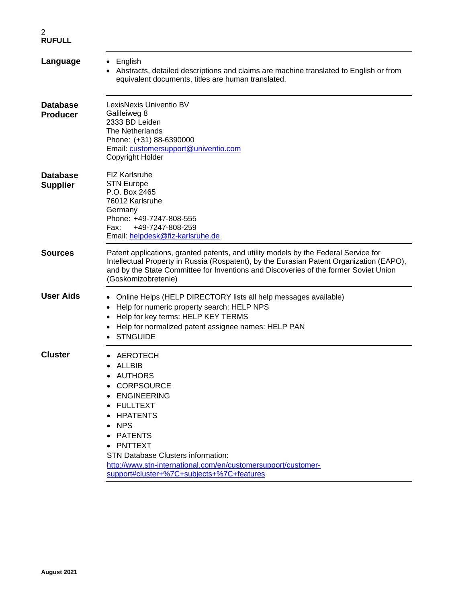| Language                           | $\bullet$ English<br>Abstracts, detailed descriptions and claims are machine translated to English or from<br>equivalent documents, titles are human translated.                                                                                                                                                                                             |
|------------------------------------|--------------------------------------------------------------------------------------------------------------------------------------------------------------------------------------------------------------------------------------------------------------------------------------------------------------------------------------------------------------|
| <b>Database</b><br><b>Producer</b> | LexisNexis Univentio BV<br>Galileiweg 8<br>2333 BD Leiden<br><b>The Netherlands</b><br>Phone: (+31) 88-6390000<br>Email: customersupport@univentio.com<br>Copyright Holder                                                                                                                                                                                   |
| <b>Database</b><br><b>Supplier</b> | <b>FIZ Karlsruhe</b><br><b>STN Europe</b><br>P.O. Box 2465<br>76012 Karlsruhe<br>Germany<br>Phone: +49-7247-808-555<br>+49-7247-808-259<br>Fax:<br>Email: helpdesk@fiz-karlsruhe.de                                                                                                                                                                          |
| <b>Sources</b>                     | Patent applications, granted patents, and utility models by the Federal Service for<br>Intellectual Property in Russia (Rospatent), by the Eurasian Patent Organization (EAPO),<br>and by the State Committee for Inventions and Discoveries of the former Soviet Union<br>(Goskomizobretenie)                                                               |
| <b>User Aids</b>                   | Online Helps (HELP DIRECTORY lists all help messages available)<br>Help for numeric property search: HELP NPS<br>٠<br>Help for key terms: HELP KEY TERMS<br>Help for normalized patent assignee names: HELP PAN<br><b>STNGUIDE</b>                                                                                                                           |
| <b>Cluster</b>                     | AEROTECH<br><b>ALLBIB</b><br>AUTHORS<br><b>CORPSOURCE</b><br><b>ENGINEERING</b><br>$\bullet$<br><b>FULLTEXT</b><br><b>HPATENTS</b><br><b>NPS</b><br>$\bullet$<br><b>PATENTS</b><br><b>PNTTEXT</b><br><b>STN Database Clusters information:</b><br>http://www.stn-international.com/en/customersupport/customer-<br>support#cluster+%7C+subjects+%7C+features |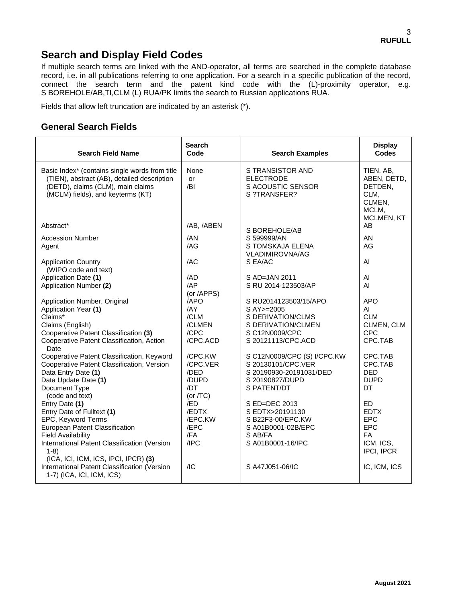## **Search and Display Field Codes**

If multiple search terms are linked with the AND-operator, all terms are searched in the complete database record, i.e. in all publications referring to one application. For a search in a specific publication of the record, connect the search term and the patent kind code with the (L)-proximity operator, e.g. S BOREHOLE/AB,TI,CLM (L) RUA/PK limits the search to Russian applications RUA.

Fields that allow left truncation are indicated by an asterisk (\*).

### **General Search Fields**

| <b>Search Field Name</b>                                                                                                                                                                                                                                                                                                                                                                                                                                                                                                                                     | <b>Search</b><br>Code                                                                                                                                                | <b>Search Examples</b>                                                                                                                                                                                                                                                                                                                                  | <b>Display</b><br><b>Codes</b>                                                                                                                                                                      |
|--------------------------------------------------------------------------------------------------------------------------------------------------------------------------------------------------------------------------------------------------------------------------------------------------------------------------------------------------------------------------------------------------------------------------------------------------------------------------------------------------------------------------------------------------------------|----------------------------------------------------------------------------------------------------------------------------------------------------------------------|---------------------------------------------------------------------------------------------------------------------------------------------------------------------------------------------------------------------------------------------------------------------------------------------------------------------------------------------------------|-----------------------------------------------------------------------------------------------------------------------------------------------------------------------------------------------------|
| Basic Index* (contains single words from title<br>(TIEN), abstract (AB), detailed description<br>(DETD), claims (CLM), main claims<br>(MCLM) fields), and keyterms (KT)                                                                                                                                                                                                                                                                                                                                                                                      | None<br>or<br>/BI                                                                                                                                                    | S TRANSISTOR AND<br><b>ELECTRODE</b><br>S ACOUSTIC SENSOR<br>S ?TRANSFER?                                                                                                                                                                                                                                                                               | TIEN, AB,<br>ABEN, DETD,<br>DETDEN,<br>CLM,<br>CLMEN,<br>MCLM,<br>MCLMEN, KT                                                                                                                        |
| Abstract*                                                                                                                                                                                                                                                                                                                                                                                                                                                                                                                                                    | /AB, /ABEN                                                                                                                                                           | S BOREHOLE/AB                                                                                                                                                                                                                                                                                                                                           | AB                                                                                                                                                                                                  |
| <b>Accession Number</b><br>Agent                                                                                                                                                                                                                                                                                                                                                                                                                                                                                                                             | /AN<br>/AG                                                                                                                                                           | S 599999/AN<br>S TOMSKAJA ELENA<br><b>VLADIMIROVNA/AG</b>                                                                                                                                                                                                                                                                                               | AN<br>AG                                                                                                                                                                                            |
| <b>Application Country</b><br>(WIPO code and text)                                                                                                                                                                                                                                                                                                                                                                                                                                                                                                           | /AC                                                                                                                                                                  | S EA/AC                                                                                                                                                                                                                                                                                                                                                 | AI                                                                                                                                                                                                  |
| Application Date (1)                                                                                                                                                                                                                                                                                                                                                                                                                                                                                                                                         | /AD                                                                                                                                                                  | S AD=JAN 2011                                                                                                                                                                                                                                                                                                                                           | AI                                                                                                                                                                                                  |
| Application Number (2)                                                                                                                                                                                                                                                                                                                                                                                                                                                                                                                                       | $A$ P<br>(or /APPS)                                                                                                                                                  | S RU 2014-123503/AP                                                                                                                                                                                                                                                                                                                                     | AI                                                                                                                                                                                                  |
| Application Number, Original<br>Application Year (1)<br>Claims*<br>Claims (English)<br>Cooperative Patent Classification (3)<br>Cooperative Patent Classification, Action<br><b>Date</b><br>Cooperative Patent Classification, Keyword<br>Cooperative Patent Classification, Version<br>Data Entry Date (1)<br>Data Update Date (1)<br>Document Type<br>(code and text)<br>Entry Date (1)<br>Entry Date of Fulltext (1)<br>EPC, Keyword Terms<br>European Patent Classification<br><b>Field Availability</b><br>International Patent Classification (Version | /APO<br>/AY<br>/CLM<br>/CLMEN<br>/CPC<br>/CPC.ACD<br>/CPC.KW<br>/CPC.VER<br>/DED<br>/DUPD<br>/DT<br>(or $/TC$ )<br>/ED<br>/EDTX<br>/EPC.KW<br>/EPC<br>/FA<br>$I$ IPC | S RU2014123503/15/APO<br>S AY>=2005<br>S DERIVATION/CLMS<br>S DERIVATION/CLMEN<br>S C12N0009/CPC<br>S 20121113/CPC.ACD<br>S C12N0009/CPC (S) I/CPC.KW<br>S 20130101/CPC.VER<br>S 20190930-20191031/DED<br>S 20190827/DUPD<br>S PATENT/DT<br>S ED=DEC 2013<br>S EDTX>20191130<br>S B22F3-00/EPC.KW<br>S A01B0001-02B/EPC<br>S AB/FA<br>S A01B0001-16/IPC | <b>APO</b><br>AI<br><b>CLM</b><br>CLMEN, CLM<br><b>CPC</b><br>CPC.TAB<br>CPC.TAB<br>CPC.TAB<br><b>DED</b><br><b>DUPD</b><br>DT<br>ED.<br><b>EDTX</b><br><b>EPC</b><br><b>EPC</b><br>FA<br>ICM, ICS, |
| $1-8)$<br>(ICA, ICI, ICM, ICS, IPCI, IPCR) (3)<br>International Patent Classification (Version<br>1-7) (ICA, ICI, ICM, ICS)                                                                                                                                                                                                                                                                                                                                                                                                                                  | /IC                                                                                                                                                                  | S A47J051-06/IC                                                                                                                                                                                                                                                                                                                                         | IPCI, IPCR<br>IC, ICM, ICS                                                                                                                                                                          |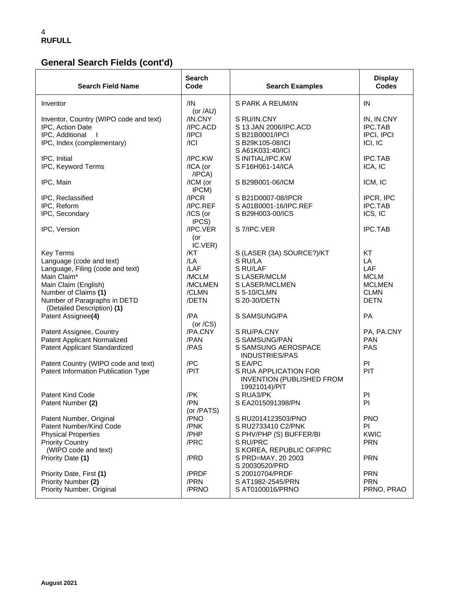# **General Search Fields (cont'd)**

| <b>Search Field Name</b>                                                                                                                                                                                                            | Search<br>Code                                                                            | <b>Search Examples</b>                                                                                                                              | <b>Display</b><br><b>Codes</b>                                                      |
|-------------------------------------------------------------------------------------------------------------------------------------------------------------------------------------------------------------------------------------|-------------------------------------------------------------------------------------------|-----------------------------------------------------------------------------------------------------------------------------------------------------|-------------------------------------------------------------------------------------|
| Inventor                                                                                                                                                                                                                            | /IN<br>(or /AU)                                                                           | S PARK A REUM/IN                                                                                                                                    | IN                                                                                  |
| Inventor, Country (WIPO code and text)<br>IPC, Action Date<br>IPC, Additional<br>IPC, Index (complementary)                                                                                                                         | /IN.CNY<br>/IPC.ACD<br>/IPCI<br>/ Cl                                                      | S RU/IN.CNY<br>S 13 JAN 2006/IPC.ACD<br>S B21B0001/IPCI<br>S B29K105-08/ICI<br>S A61K031:40/ICI                                                     | IN, IN.CNY<br><b>IPC.TAB</b><br>IPCI, IPCI<br>ICI, IC                               |
| IPC, Initial<br>IPC, Keyword Terms                                                                                                                                                                                                  | /IPC.KW<br>/ICA (or<br>/IPCA)                                                             | S INITIAL/IPC.KW<br>S F16H061-14/ICA                                                                                                                | <b>IPC.TAB</b><br>ICA, IC                                                           |
| IPC, Main                                                                                                                                                                                                                           | /ICM (or<br>IPCM)                                                                         | S B29B001-06/ICM                                                                                                                                    | ICM, IC                                                                             |
| IPC, Reclassified<br>IPC, Reform<br>IPC, Secondary                                                                                                                                                                                  | /IPCR<br>/IPC.REF<br>/ICS (or<br>IPCS)                                                    | S B21D0007-08/IPCR<br>S A01B0001-16/IPC.REF<br>S B29H003-00/ICS                                                                                     | IPCR, IPC<br>IPC.TAB<br>ICS, IC                                                     |
| IPC, Version                                                                                                                                                                                                                        | /IPC.VER<br>(or                                                                           | S 7/IPC.VER                                                                                                                                         | <b>IPC.TAB</b>                                                                      |
| <b>Key Terms</b><br>Language (code and text)<br>Language, Filing (code and text)<br>Main Claim*<br>Main Claim (English)<br>Number of Claims (1)<br>Number of Paragraphs in DETD<br>(Detailed Description) (1)<br>Patent Assignee(4) | IC.VER)<br>/KT<br>/LA<br>/LAF<br>/MCLM<br>/MCLMEN<br>/CLMN<br>/DETN<br>/PA<br>(or $/CS$ ) | S (LASER (3A) SOURCE?)/KT<br>S RU/LA<br>S RU/LAF<br>S LASER/MCLM<br>S LASER/MCLMEN<br>S 5-10/CLMN<br>S 20-30/DETN<br>S SAMSUNG/PA                   | KT<br>LA<br>LAF<br><b>MCLM</b><br><b>MCLMEN</b><br><b>CLMN</b><br><b>DETN</b><br>PA |
| Patent Assignee, Country<br><b>Patent Applicant Normalized</b><br>Patent Applicant Standardized                                                                                                                                     | /PA.CNY<br>/PAN<br>/PAS                                                                   | S RU/PA.CNY<br>S SAMSUNG/PAN<br>S SAMSUNG AEROSPACE<br><b>INDUSTRIES/PAS</b>                                                                        | PA, PA.CNY<br><b>PAN</b><br><b>PAS</b>                                              |
| Patent Country (WIPO code and text)<br>Patent Information Publication Type                                                                                                                                                          | /PC<br>/PIT                                                                               | S EA/PC<br>S RUA APPLICATION FOR<br><b>INVENTION (PUBLISHED FROM</b><br>19921014)/PIT                                                               | PI<br>PIT                                                                           |
| <b>Patent Kind Code</b><br>Patent Number (2)                                                                                                                                                                                        | /PK<br>/PN<br>(or /PATS)                                                                  | S RUA3/PK<br>S EA2015091398/PN                                                                                                                      | PI<br>PI                                                                            |
| Patent Number, Original<br>Patent Number/Kind Code<br><b>Physical Properties</b><br><b>Priority Country</b><br>(WIPO code and text)<br>Priority Date (1)                                                                            | /PNO<br>/PNK<br>/PHP<br>/PRC<br>/PRD                                                      | S RU2014123503/PNO<br>S RU2733410 C2/PNK<br>S PHV/PHP (S) BUFFER/BI<br>S RU/PRC<br>S KOREA, REPUBLIC OF/PRC<br>S PRD=MAY, 20 2003<br>S 20030520/PRD | <b>PNO</b><br>PI<br><b>KWIC</b><br><b>PRN</b><br><b>PRN</b>                         |
| Priority Date, First (1)<br>Priority Number (2)<br>Priority Number, Original                                                                                                                                                        | /PRDF<br>/PRN<br>/PRNO                                                                    | S 20010704/PRDF<br>S AT1982-2545/PRN<br>S AT0100016/PRNO                                                                                            | <b>PRN</b><br><b>PRN</b><br>PRNO, PRAO                                              |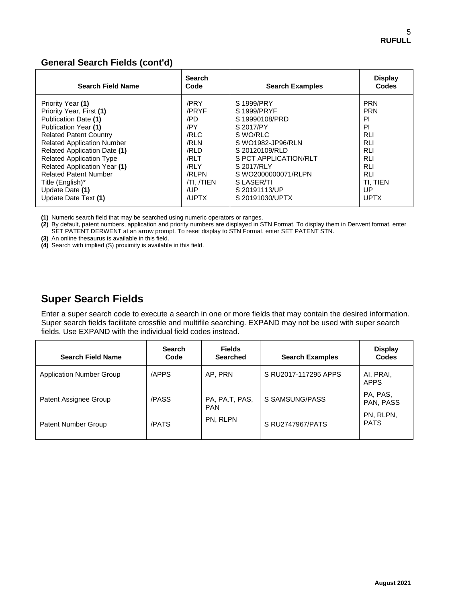### **General Search Fields (cont'd)**

| <b>Search Field Name</b>            | <b>Search</b><br>Code | <b>Search Examples</b> | <b>Display</b><br><b>Codes</b> |
|-------------------------------------|-----------------------|------------------------|--------------------------------|
| Priority Year (1)                   | /PRY                  | S 1999/PRY             | <b>PRN</b>                     |
| Priority Year, First (1)            | /PRYF                 | S 1999/PRYF            | <b>PRN</b>                     |
| Publication Date (1)                | /PD                   | S 19990108/PRD         | PI                             |
| Publication Year (1)                | /PY                   | S 2017/PY              | PI                             |
| <b>Related Patent Country</b>       | /RLC                  | S WO/RLC               | <b>RLI</b>                     |
| <b>Related Application Number</b>   | /RLN                  | S WO1982-JP96/RLN      | <b>RLI</b>                     |
| <b>Related Application Date (1)</b> | /RLD                  | S 20120109/RLD         | <b>RLI</b>                     |
| <b>Related Application Type</b>     | /RLT                  | S PCT APPLICATION/RLT  | <b>RLI</b>                     |
| <b>Related Application Year (1)</b> | /RLY                  | S 2017/RLY             | <b>RLI</b>                     |
| <b>Related Patent Number</b>        | /RLPN                 | S WO2000000071/RLPN    | <b>RLI</b>                     |
| Title (English)*                    | TI. TIEN              | S LASER/TI             | TI. TIEN                       |
| Update Date (1)                     | /UP                   | S 20191113/UP          | UP                             |
| Update Date Text (1)                | /UPTX                 | S 20191030/UPTX        | <b>UPTX</b>                    |

**(1)** Numeric search field that may be searched using numeric operators or ranges.

**(2)** By default, patent numbers, application and priority numbers are displayed in STN Format. To display them in Derwent format, enter SET PATENT DERWENT at an arrow prompt. To reset display to STN Format, enter SET PATENT STN.

**(3)** An online thesaurus is available in this field.

**(4)** Search with implied (S) proximity is available in this field.

## **Super Search Fields**

Enter a super search code to execute a search in one or more fields that may contain the desired information. Super search fields facilitate crossfile and multifile searching. EXPAND may not be used with super search fields. Use EXPAND with the individual field codes instead.

| <b>Search</b><br>Code | <b>Fields</b><br><b>Searched</b> | <b>Search Examples</b> | <b>Display</b><br><b>Codes</b> |
|-----------------------|----------------------------------|------------------------|--------------------------------|
| /APPS                 | AP, PRN                          | S RU2017-117295 APPS   | AI, PRAI,<br><b>APPS</b>       |
| /PASS                 | PA, PA.T, PAS,<br><b>PAN</b>     | S SAMSUNG/PASS         | PA, PAS,<br>PAN, PASS          |
| /PATS                 | PN, RLPN                         | S RU2747967/PATS       | PN, RLPN,<br><b>PATS</b>       |
|                       |                                  |                        |                                |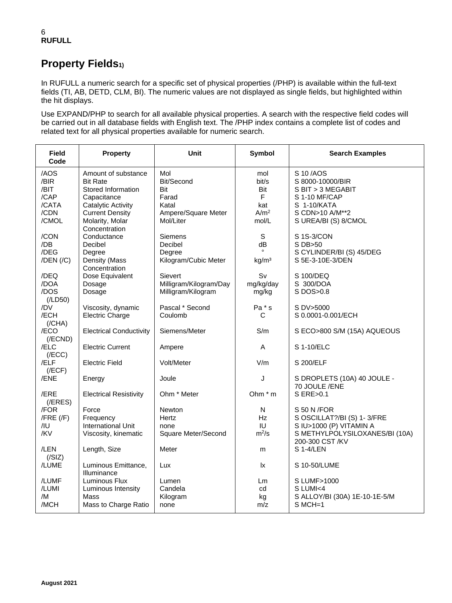# **Property Fields1)**

In RUFULL a numeric search for a specific set of physical properties (/PHP) is available within the full-text fields (TI, AB, DETD, CLM, BI). The numeric values are not displayed as single fields, but highlighted within the hit displays.

Use EXPAND/PHP to search for all available physical properties. A search with the respective field codes will be carried out in all database fields with English text. The /PHP index contains a complete list of codes and related text for all physical properties available for numeric search.

| /AOS<br>Mol<br>S 10/AOS<br>Amount of substance<br>mol<br>/BIR<br><b>Bit Rate</b><br>Bit/Second<br>bit/s<br>S 8000-10000/BIR<br>/BIT<br>Stored Information<br>Bit<br>Bit<br>S BIT > 3 MEGABIT<br>$\mathsf F$<br>/CAP<br>Farad<br>S 1-10 MF/CAP<br>Capacitance<br>/CATA<br>Catalytic Activity<br>Katal<br>kat<br>S 1-10/KATA<br>/CDN<br><b>Current Density</b><br>A/m <sup>2</sup><br>Ampere/Square Meter<br>S CDN>10 A/M**2<br>/CMOL<br>Mol/Liter<br>Molarity, Molar<br>mol/L<br>S UREA/BI (S) 8/CMOL<br>Concentration<br>/CON<br>S<br>S 1S-3/CON<br>Conductance<br>Siemens<br>/DB<br>Decibel<br>Decibel<br>dB<br>S DB>50<br>/DEG<br>S CYLINDER/BI (S) 45/DEG<br>Degree<br>Degree | <b>Field</b><br>Code | <b>Property</b> | <b>Unit</b> | Symbol | <b>Search Examples</b> |
|----------------------------------------------------------------------------------------------------------------------------------------------------------------------------------------------------------------------------------------------------------------------------------------------------------------------------------------------------------------------------------------------------------------------------------------------------------------------------------------------------------------------------------------------------------------------------------------------------------------------------------------------------------------------------------|----------------------|-----------------|-------------|--------|------------------------|
|                                                                                                                                                                                                                                                                                                                                                                                                                                                                                                                                                                                                                                                                                  |                      |                 |             |        |                        |
|                                                                                                                                                                                                                                                                                                                                                                                                                                                                                                                                                                                                                                                                                  |                      |                 |             |        |                        |
|                                                                                                                                                                                                                                                                                                                                                                                                                                                                                                                                                                                                                                                                                  |                      |                 |             |        |                        |
|                                                                                                                                                                                                                                                                                                                                                                                                                                                                                                                                                                                                                                                                                  |                      |                 |             |        |                        |
|                                                                                                                                                                                                                                                                                                                                                                                                                                                                                                                                                                                                                                                                                  |                      |                 |             |        |                        |
|                                                                                                                                                                                                                                                                                                                                                                                                                                                                                                                                                                                                                                                                                  |                      |                 |             |        |                        |
|                                                                                                                                                                                                                                                                                                                                                                                                                                                                                                                                                                                                                                                                                  |                      |                 |             |        |                        |
|                                                                                                                                                                                                                                                                                                                                                                                                                                                                                                                                                                                                                                                                                  |                      |                 |             |        |                        |
|                                                                                                                                                                                                                                                                                                                                                                                                                                                                                                                                                                                                                                                                                  |                      |                 |             |        |                        |
|                                                                                                                                                                                                                                                                                                                                                                                                                                                                                                                                                                                                                                                                                  |                      |                 |             |        |                        |
|                                                                                                                                                                                                                                                                                                                                                                                                                                                                                                                                                                                                                                                                                  |                      |                 |             |        |                        |
| Density (Mass<br>$/$ DEN $/$ $/$ C $)$<br>Kilogram/Cubic Meter<br>S 5E-3-10E-3/DEN<br>kg/m <sup>3</sup><br>Concentration                                                                                                                                                                                                                                                                                                                                                                                                                                                                                                                                                         |                      |                 |             |        |                        |
| Sv<br>/DEQ<br>Dose Equivalent<br>Sievert<br>S 100/DEQ                                                                                                                                                                                                                                                                                                                                                                                                                                                                                                                                                                                                                            |                      |                 |             |        |                        |
| /DOA<br>Milligram/Kilogram/Day<br>S 300/DOA<br>Dosage<br>mg/kg/day                                                                                                                                                                                                                                                                                                                                                                                                                                                                                                                                                                                                               |                      |                 |             |        |                        |
| /DOS<br>Milligram/Kilogram<br>S DOS>0.8<br>Dosage<br>mg/kg                                                                                                                                                                                                                                                                                                                                                                                                                                                                                                                                                                                                                       |                      |                 |             |        |                        |
| (ILD50)                                                                                                                                                                                                                                                                                                                                                                                                                                                                                                                                                                                                                                                                          |                      |                 |             |        |                        |
| /DV<br>Viscosity, dynamic<br>Pascal * Second<br>Pa * s<br>S DV>5000                                                                                                                                                                                                                                                                                                                                                                                                                                                                                                                                                                                                              |                      |                 |             |        |                        |
| Electric Charge<br>/ECH<br>Coulomb<br>S 0.0001-0.001/ECH<br>С                                                                                                                                                                                                                                                                                                                                                                                                                                                                                                                                                                                                                    |                      |                 |             |        |                        |
| (/CHA)                                                                                                                                                                                                                                                                                                                                                                                                                                                                                                                                                                                                                                                                           |                      |                 |             |        |                        |
| Siemens/Meter<br>S/m<br>/ECO<br><b>Electrical Conductivity</b><br>S ECO>800 S/M (15A) AQUEOUS                                                                                                                                                                                                                                                                                                                                                                                                                                                                                                                                                                                    |                      |                 |             |        |                        |
| $($ <i>(FCND)</i>                                                                                                                                                                                                                                                                                                                                                                                                                                                                                                                                                                                                                                                                |                      |                 |             |        |                        |
| /ELC<br><b>Electric Current</b><br>S 1-10/ELC<br>A<br>Ampere                                                                                                                                                                                                                                                                                                                                                                                                                                                                                                                                                                                                                     |                      |                 |             |        |                        |
| (/ECC)                                                                                                                                                                                                                                                                                                                                                                                                                                                                                                                                                                                                                                                                           |                      |                 |             |        |                        |
| /ELF<br><b>Electric Field</b><br>Volt/Meter<br>V/m<br>S 200/ELF                                                                                                                                                                                                                                                                                                                                                                                                                                                                                                                                                                                                                  |                      |                 |             |        |                        |
| (/ECF)                                                                                                                                                                                                                                                                                                                                                                                                                                                                                                                                                                                                                                                                           |                      |                 |             |        |                        |
| /ENE<br>J<br>S DROPLETS (10A) 40 JOULE -<br>Energy<br>Joule                                                                                                                                                                                                                                                                                                                                                                                                                                                                                                                                                                                                                      |                      |                 |             |        |                        |
| 70 JOULE /ENE                                                                                                                                                                                                                                                                                                                                                                                                                                                                                                                                                                                                                                                                    |                      |                 |             |        |                        |
| Ohm * Meter<br>Ohm * m<br>S ERE>0.1<br>/ERE<br><b>Electrical Resistivity</b>                                                                                                                                                                                                                                                                                                                                                                                                                                                                                                                                                                                                     |                      |                 |             |        |                        |
| $($ <i>(FRES)</i><br>/FOR<br>Newton<br>S 50 N / FOR<br>Force<br>N                                                                                                                                                                                                                                                                                                                                                                                                                                                                                                                                                                                                                |                      |                 |             |        |                        |
| S OSCILLAT?/BI (S) 1-3/FRE<br>$/$ FRE $($ /F $)$<br>Frequency<br>Hertz<br>Hz.                                                                                                                                                                                                                                                                                                                                                                                                                                                                                                                                                                                                    |                      |                 |             |        |                        |
| IU<br><b>International Unit</b><br>S IU>1000 (P) VITAMIN A<br>/IU<br>none                                                                                                                                                                                                                                                                                                                                                                                                                                                                                                                                                                                                        |                      |                 |             |        |                        |
| $m^2/s$<br>/KV<br>Viscosity, kinematic<br>Square Meter/Second<br>S METHYLPOLYSILOXANES/BI (10A)                                                                                                                                                                                                                                                                                                                                                                                                                                                                                                                                                                                  |                      |                 |             |        |                        |
| 200-300 CST /KV                                                                                                                                                                                                                                                                                                                                                                                                                                                                                                                                                                                                                                                                  |                      |                 |             |        |                        |
| /LEN<br>Length, Size<br>Meter<br>S 1-4/LEN<br>m                                                                                                                                                                                                                                                                                                                                                                                                                                                                                                                                                                                                                                  |                      |                 |             |        |                        |
| (/SIZ)                                                                                                                                                                                                                                                                                                                                                                                                                                                                                                                                                                                                                                                                           |                      |                 |             |        |                        |
| /LUME<br>Luminous Emittance,<br>Lux<br>lx<br>S 10-50/LUME                                                                                                                                                                                                                                                                                                                                                                                                                                                                                                                                                                                                                        |                      |                 |             |        |                        |
| Illuminance                                                                                                                                                                                                                                                                                                                                                                                                                                                                                                                                                                                                                                                                      |                      |                 |             |        |                        |
| /LUMF<br>Luminous Flux<br>S LUMF>1000<br>Lumen<br>Lm                                                                                                                                                                                                                                                                                                                                                                                                                                                                                                                                                                                                                             |                      |                 |             |        |                        |
| /LUMI<br>Luminous Intensity<br>Candela<br>S LUMI<4<br>cd                                                                                                                                                                                                                                                                                                                                                                                                                                                                                                                                                                                                                         |                      |                 |             |        |                        |
| /M<br>Mass<br>Kilogram<br>S ALLOY/BI (30A) 1E-10-1E-5/M<br>kg                                                                                                                                                                                                                                                                                                                                                                                                                                                                                                                                                                                                                    |                      |                 |             |        |                        |
| /MCH<br>Mass to Charge Ratio<br>$S$ MCH $=$ 1<br>none<br>m/z                                                                                                                                                                                                                                                                                                                                                                                                                                                                                                                                                                                                                     |                      |                 |             |        |                        |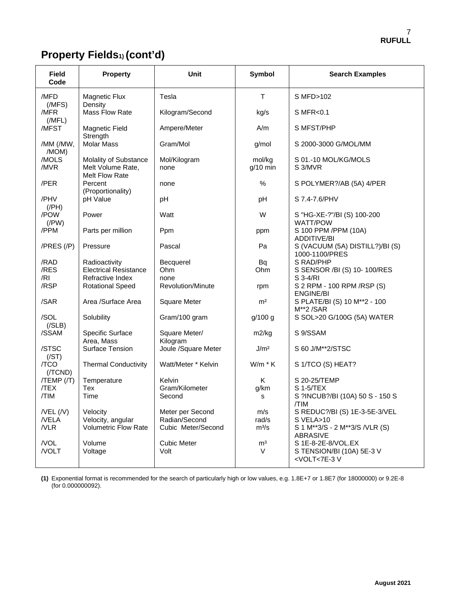# **Property Fields1) (cont'd)**

| <b>Field</b><br>Code  | <b>Property</b>                                              | Unit                      | Symbol               | <b>Search Examples</b>                                         |
|-----------------------|--------------------------------------------------------------|---------------------------|----------------------|----------------------------------------------------------------|
| /MFD<br>(MFS)         | Magnetic Flux<br>Density                                     | Tesla                     | T                    | S MFD>102                                                      |
| /MFR<br>(MFL)         | Mass Flow Rate                                               | Kilogram/Second           | kg/s                 | S MFR<0.1                                                      |
| /MFST                 | Magnetic Field<br>Strength                                   | Ampere/Meter              | A/m                  | S MFST/PHP                                                     |
| /MM (/MW,<br>/MOM)    | <b>Molar Mass</b>                                            | Gram/Mol                  | g/mol                | S 2000-3000 G/MOL/MM                                           |
| /MOLS<br>/MVR         | Molality of Substance<br>Melt Volume Rate,<br>Melt Flow Rate | Mol/Kilogram<br>none      | mol/kg<br>$q/10$ min | S 01.-10 MOL/KG/MOLS<br>S 3/MVR                                |
| /PER                  | Percent<br>(Proportionality)                                 | none                      | $\frac{0}{0}$        | S POLYMER?/AB (5A) 4/PER                                       |
| /PHV<br>$($ /PH $)$   | pH Value                                                     | pH                        | pH                   | S 7.4-7.6/PHV                                                  |
| /POW<br>$($ /PW $)$   | Power                                                        | Watt                      | W                    | S "HG-XE-?"/BI (S) 100-200<br><b>WATT/POW</b>                  |
| /PPM                  | Parts per million                                            | Ppm                       | ppm                  | S 100 PPM /PPM (10A)<br><b>ADDITIVE/BI</b>                     |
| $/PRES$ $//P)$        | Pressure                                                     | Pascal                    | Pa                   | S (VACUUM (5A) DISTILL?)/BI (S)<br>1000-1100/PRES              |
| /RAD                  | Radioactivity                                                | Becquerel                 | <b>Bq</b>            | S RAD/PHP                                                      |
| /RES<br>/RI           | <b>Electrical Resistance</b><br>Refractive Index             | Ohm<br>none               | Ohm                  | S SENSOR /BI (S) 10-100/RES<br>S 3-4/RI                        |
| /RSP                  | <b>Rotational Speed</b>                                      | Revolution/Minute         | rpm                  | S 2 RPM - 100 RPM / RSP (S)                                    |
| /SAR                  | Area /Surface Area                                           | Square Meter              | m <sup>2</sup>       | <b>ENGINE/BI</b><br>S PLATE/BI (S) 10 M**2 - 100<br>M**2/SAR   |
| /SOL<br>( / SLB)      | Solubility                                                   | Gram/100 gram             | g/100 g              | S SOL>20 G/100G (5A) WATER                                     |
| /SSAM                 | Specific Surface<br>Area, Mass                               | Square Meter/<br>Kilogram | m2/kg                | S 9/SSAM                                                       |
| /STSC<br>(/ST)        | Surface Tension                                              | Joule /Square Meter       | J/m <sup>2</sup>     | S 60 J/M**2/STSC                                               |
| /TCO<br>$($ /TCND $)$ | <b>Thermal Conductivity</b>                                  | Watt/Meter * Kelvin       | $W/m * K$            | S 1/TCO (S) HEAT?                                              |
| $/TEMP$ $/$ T)        | Temperature                                                  | Kelvin                    | K                    | S 20-25/TEMP                                                   |
| /TEX                  | <b>Tex</b>                                                   | Gram/Kilometer            | g/km                 | S 1-5/TEX                                                      |
| /TIM                  | Time                                                         | Second                    | s                    | S ?INCUB?/BI (10A) 50 S - 150 S<br>/TIM                        |
| $/$ VEL $($ /V $)$    | Velocity                                                     | Meter per Second          | m/s                  | S REDUC?/BI (S) 1E-3-5E-3/VEL                                  |
| /VELA                 | Velocity, angular                                            | Radian/Second             | rad/s                | S VELA>10                                                      |
| /VLR                  | <b>Volumetric Flow Rate</b>                                  | Cubic Meter/Second        | $m^3/s$              | S 1 M**3/S - 2 M**3/S /VLR (S)<br><b>ABRASIVE</b>              |
| /VOL                  | Volume                                                       | <b>Cubic Meter</b>        | m <sup>3</sup>       | S 1E-8-2E-8/VOL.EX                                             |
| /VOLT                 | Voltage                                                      | Volt                      | V                    | S TENSION/BI (10A) 5E-3 V<br><volt<7e-3v< td=""></volt<7e-3v<> |

**(1)** Exponential format is recommended for the search of particularly high or low values, e.g. 1.8E+7 or 1.8E7 (for 18000000) or 9.2E-8 (for 0.000000092).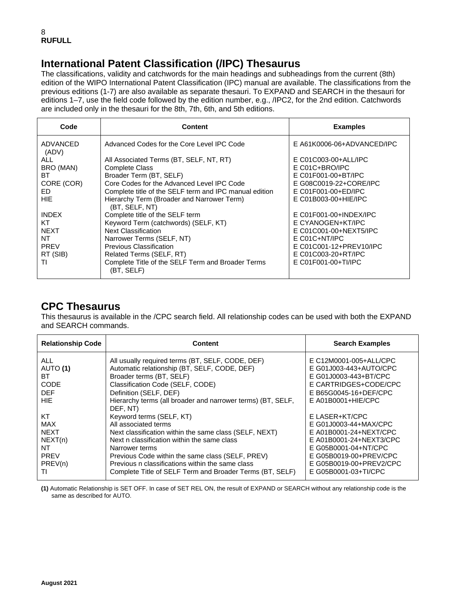## **International Patent Classification (/IPC) Thesaurus**

The classifications, validity and catchwords for the main headings and subheadings from the current (8th) edition of the WIPO International Patent Classification (IPC) manual are available. The classifications from the previous editions (1-7) are also available as separate thesauri. To EXPAND and SEARCH in the thesauri for editions 1–7, use the field code followed by the edition number, e.g., /IPC2, for the 2nd edition. Catchwords are included only in the thesauri for the 8th, 7th, 6th, and 5th editions.

| Code              | <b>Content</b>                                                  | <b>Examples</b>            |
|-------------------|-----------------------------------------------------------------|----------------------------|
| ADVANCED<br>(ADV) | Advanced Codes for the Core Level IPC Code                      | E A61K0006-06+ADVANCED/IPC |
| ALL.              | All Associated Terms (BT, SELF, NT, RT)                         | E C01C003-00+ALL/IPC       |
| BRO (MAN)         | <b>Complete Class</b>                                           | $E CO1C + BRO/IPC$         |
| ВT                | Broader Term (BT, SELF)                                         | E C01F001-00+BT/IPC        |
| CORE (COR)        | Core Codes for the Advanced Level IPC Code                      | E G08C0019-22+CORE/IPC     |
| ED                | Complete title of the SELF term and IPC manual edition          | E C01F001-00+ED/IPC        |
| HIE.              | Hierarchy Term (Broader and Narrower Term)<br>(BT, SELF, NT)    | E C01B003-00+HIE/IPC       |
| <b>INDEX</b>      | Complete title of the SELF term                                 | $E$ C01F001-00+INDEX/IPC   |
| KT                | Keyword Term (catchwords) (SELF, KT)                            | E CYANOGEN+KT/IPC          |
| <b>NEXT</b>       | <b>Next Classification</b>                                      | E C01C001-00+NEXT5/IPC     |
| NT                | Narrower Terms (SELF, NT)                                       | $E CO1C+NT/IPC$            |
| PREV              | <b>Previous Classification</b>                                  | E C01C001-12+PREV10/IPC    |
| RT (SIB)          | Related Terms (SELF, RT)                                        | E C01C003-20+RT/IPC        |
| ΤI                | Complete Title of the SELF Term and Broader Terms<br>(BT, SELF) | $E$ C01F001-00+TI/IPC      |

## **CPC Thesaurus**

This thesaurus is available in the /CPC search field. All relationship codes can be used with both the EXPAND and SEARCH commands.

| <b>Relationship Code</b> | Content                                                                 | <b>Search Examples</b>  |
|--------------------------|-------------------------------------------------------------------------|-------------------------|
| <b>ALL</b>               | All usually required terms (BT, SELF, CODE, DEF)                        | E C12M0001-005+ALL/CPC  |
| AUTO (1)                 | Automatic relationship (BT, SELF, CODE, DEF)                            | E G01J003-443+AUTO/CPC  |
| ВT                       | Broader terms (BT, SELF)                                                | E G01J0003-443+BT/CPC   |
| CODE                     | Classification Code (SELF, CODE)                                        | E CARTRIDGES+CODE/CPC   |
| <b>DEF</b>               | Definition (SELF, DEF)                                                  | E B65G0045-16+DEF/CPC   |
| HIE.                     | Hierarchy terms (all broader and narrower terms) (BT, SELF,<br>DEF. NT) | $E$ A01B0001+HIE/CPC    |
| КT                       | Keyword terms (SELF, KT)                                                | E LASER+KT/CPC          |
| <b>MAX</b>               | All associated terms                                                    | E G01J0003-44+MAX/CPC   |
| <b>NEXT</b>              | Next classification within the same class (SELF, NEXT)                  | E A01B0001-24+NEXT/CPC  |
| NEXT(n)                  | Next n classification within the same class                             | E A01B0001-24+NEXT3/CPC |
| NT                       | Narrower terms                                                          | E G05B0001-04+NT/CPC    |
| <b>PREV</b>              | Previous Code within the same class (SELF, PREV)                        | E G05B0019-00+PREV/CPC  |
| PREV(n)                  | Previous n classifications within the same class                        | E G05B0019-00+PREV2/CPC |
| Τl                       | Complete Title of SELF Term and Broader Terms (BT, SELF)                | E G05B0001-03+TI/CPC    |

**(1)** Automatic Relationship is SET OFF. In case of SET REL ON, the result of EXPAND or SEARCH without any relationship code is the same as described for AUTO.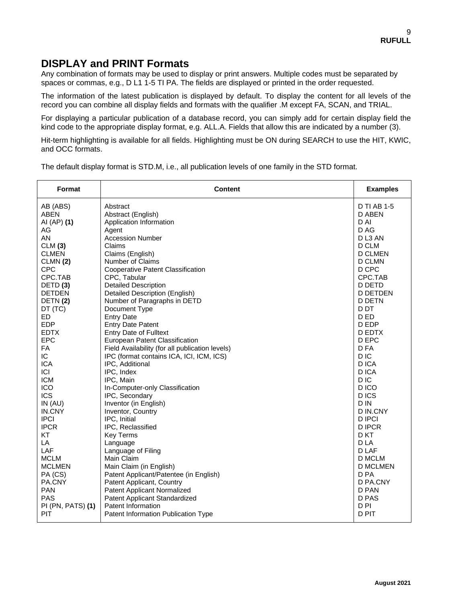## **DISPLAY and PRINT Formats**

Any combination of formats may be used to display or print answers. Multiple codes must be separated by spaces or commas, e.g., D L1 1-5 TI PA. The fields are displayed or printed in the order requested.

The information of the latest publication is displayed by default. To display the content for all levels of the record you can combine all display fields and formats with the qualifier .M except FA, SCAN, and TRIAL.

For displaying a particular publication of a database record, you can simply add for certain display field the kind code to the appropriate display format, e.g. ALL.A. Fields that allow this are indicated by a number (3).

Hit-term highlighting is available for all fields. Highlighting must be ON during SEARCH to use the HIT, KWIC, and OCC formats.

The default display format is STD.M, i.e., all publication levels of one family in the STD format.

| Format              | <b>Content</b>                                  | <b>Examples</b>    |
|---------------------|-------------------------------------------------|--------------------|
| AB (ABS)            | Abstract                                        | <b>D TI AB 1-5</b> |
| <b>ABEN</b>         | Abstract (English)                              | D ABEN             |
| AI (AP) (1)         | Application Information                         | D AI               |
| AG                  | Agent                                           | D AG               |
| AN                  | <b>Accession Number</b>                         | DL3 AN             |
| CLM(3)              | Claims                                          | D CLM              |
| <b>CLMEN</b>        | Claims (English)                                | <b>D CLMEN</b>     |
| CLMN(2)             | Number of Claims                                | <b>D CLMN</b>      |
| <b>CPC</b>          | Cooperative Patent Classification               | D CPC              |
| CPC.TAB             | CPC, Tabular                                    | CPC.TAB            |
| DETD <sub>(3)</sub> | <b>Detailed Description</b>                     | D DETD             |
| <b>DETDEN</b>       | <b>Detailed Description (English)</b>           | <b>D DETDEN</b>    |
| DETN(2)             | Number of Paragraphs in DETD                    | <b>D DETN</b>      |
| DT (TC)             | Document Type                                   | D <sub>D</sub> T   |
| ED                  | <b>Entry Date</b>                               | D ED               |
| <b>EDP</b>          | <b>Entry Date Patent</b>                        | D EDP              |
| <b>EDTX</b>         | Entry Date of Fulltext                          | <b>D EDTX</b>      |
| <b>EPC</b>          | <b>European Patent Classification</b>           | D EPC              |
| FA                  | Field Availability (for all publication levels) | D FA               |
| IC.                 | IPC (format contains ICA, ICI, ICM, ICS)        | D IC               |
| <b>ICA</b>          | IPC, Additional                                 | D ICA              |
| ICI                 | IPC, Index                                      | D ICA              |
| <b>ICM</b>          | IPC, Main                                       | D IC               |
| ICO                 | In-Computer-only Classification                 | D ICO              |
| <b>ICS</b>          | IPC, Secondary                                  | D ICS              |
| IN (AU)             | Inventor (in English)                           | D IN               |
| IN.CNY              | Inventor, Country                               | D IN.CNY           |
| <b>IPCI</b>         | IPC, Initial                                    | <b>D IPCI</b>      |
| <b>IPCR</b>         | IPC, Reclassified                               | <b>DIPCR</b>       |
| KT                  | <b>Key Terms</b>                                | D KT               |
| LA                  | Language                                        | D LA               |
| LAF                 | Language of Filing                              | D LAF              |
| <b>MCLM</b>         | Main Claim                                      | D MCLM             |
| <b>MCLMEN</b>       | Main Claim (in English)                         | <b>D MCLMEN</b>    |
| PA (CS)             | Patent Applicant/Patentee (in English)          | D PA               |
| PA.CNY              | Patent Applicant, Country                       | D PA.CNY           |
| <b>PAN</b>          | <b>Patent Applicant Normalized</b>              | D PAN              |
| PAS                 | Patent Applicant Standardized                   | D PAS              |
| PI (PN, PATS) (1)   | Patent Information                              | D <sub>PI</sub>    |
| PIT                 | Patent Information Publication Type             | D PIT              |
|                     |                                                 |                    |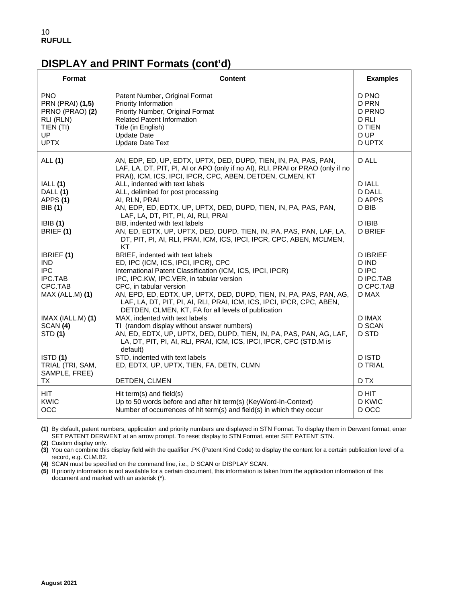## **DISPLAY and PRINT Formats (cont'd)**

| Format                                                                                                         | <b>Content</b>                                                                                                                                                                                                                                                                                                                                                             | <b>Examples</b>                                                             |
|----------------------------------------------------------------------------------------------------------------|----------------------------------------------------------------------------------------------------------------------------------------------------------------------------------------------------------------------------------------------------------------------------------------------------------------------------------------------------------------------------|-----------------------------------------------------------------------------|
| <b>PNO</b><br><b>PRN (PRAI) (1,5)</b><br>PRNO (PRAO) (2)<br>RLI (RLN)<br>TIEN (TI)<br><b>UP</b><br><b>UPTX</b> | Patent Number, Original Format<br>Priority Information<br>Priority Number, Original Format<br><b>Related Patent Information</b><br>Title (in English)<br><b>Update Date</b><br><b>Update Date Text</b>                                                                                                                                                                     | D PNO<br>D PRN<br>D PRNO<br>D RLI<br><b>D TIEN</b><br>D UP<br><b>D UPTX</b> |
| ALL (1)<br>IALL(1)<br>DALL (1)<br>APPS (1)<br>BIB (1)                                                          | AN, EDP, ED, UP, EDTX, UPTX, DED, DUPD, TIEN, IN, PA, PAS, PAN,<br>LAF, LA, DT, PIT, PI, AI or APO (only if no AI), RLI, PRAI or PRAO (only if no<br>PRAI), ICM, ICS, IPCI, IPCR, CPC, ABEN, DETDEN, CLMEN, KT<br>ALL, indented with text labels<br>ALL, delimited for post processing<br>AI, RLN, PRAI<br>AN, EDP, ED, EDTX, UP, UPTX, DED, DUPD, TIEN, IN, PA, PAS, PAN, | D ALL<br><b>DIALL</b><br><b>D DALL</b><br>D APPS<br>D BIB                   |
| IBIB(1)<br>BRIEF (1)                                                                                           | LAF, LA, DT, PIT, PI, AI, RLI, PRAI<br>BIB, indented with text labels<br>AN, ED, EDTX, UP, UPTX, DED, DUPD, TIEN, IN, PA, PAS, PAN, LAF, LA,<br>DT, PIT, PI, AI, RLI, PRAI, ICM, ICS, IPCI, IPCR, CPC, ABEN, MCLMEN,<br>KT                                                                                                                                                 | D IBIB<br><b>D BRIEF</b>                                                    |
| IBRIEF (1)<br>IND.<br><b>IPC</b><br><b>IPC.TAB</b><br>CPC.TAB<br>MAX (ALL.M) (1)                               | BRIEF, indented with text labels<br>ED, IPC (ICM, ICS, IPCI, IPCR), CPC<br>International Patent Classification (ICM, ICS, IPCI, IPCR)<br>IPC, IPC.KW, IPC.VER, in tabular version<br>CPC, in tabular version<br>AN, EPD, ED, EDTX, UP, UPTX, DED, DUPD, TIEN, IN, PA, PAS, PAN, AG,<br>LAF, LA, DT, PIT, PI, AI, RLI, PRAI, ICM, ICS, IPCI, IPCR, CPC, ABEN,               | <b>DIBRIEF</b><br>D IND<br>D IPC<br>D IPC.TAB<br>D CPC.TAB<br>D MAX         |
| IMAX (IALL.M) (1)<br>SCAN (4)<br>STD (1)                                                                       | DETDEN, CLMEN, KT, FA for all levels of publication<br>MAX, indented with text labels<br>TI (random display without answer numbers)<br>AN, ED, EDTX, UP, UPTX, DED, DUPD, TIEN, IN, PA, PAS, PAN, AG, LAF,<br>LA, DT, PIT, PI, AI, RLI, PRAI, ICM, ICS, IPCI, IPCR, CPC (STD.M is<br>default)                                                                              | D IMAX<br><b>D SCAN</b><br>D STD                                            |
| ISTD(1)<br>TRIAL (TRI, SAM,<br>SAMPLE, FREE)<br>ТX                                                             | STD, indented with text labels<br>ED, EDTX, UP, UPTX, TIEN, FA, DETN, CLMN<br>DETDEN, CLMEN                                                                                                                                                                                                                                                                                | <b>DISTD</b><br><b>D TRIAL</b><br>D TX                                      |
| HIT.<br><b>KWIC</b><br>OCC                                                                                     | Hit term(s) and field(s)<br>Up to 50 words before and after hit term(s) (KeyWord-In-Context)<br>Number of occurrences of hit term(s) and field(s) in which they occur                                                                                                                                                                                                      | D HIT<br><b>D KWIC</b><br>D OCC                                             |

**(1)** By default, patent numbers, application and priority numbers are displayed in STN Format. To display them in Derwent format, enter SET PATENT DERWENT at an arrow prompt. To reset display to STN Format, enter SET PATENT STN.

**(2)** Custom display only.

**(3)** You can combine this display field with the qualifier .PK (Patent Kind Code) to display the content for a certain publication level of a record, e.g. CLM.B2.

**(4)** SCAN must be specified on the command line, i.e., D SCAN or DISPLAY SCAN.

**(5)** If priority information is not available for a certain document, this information is taken from the application information of this document and marked with an asterisk (\*).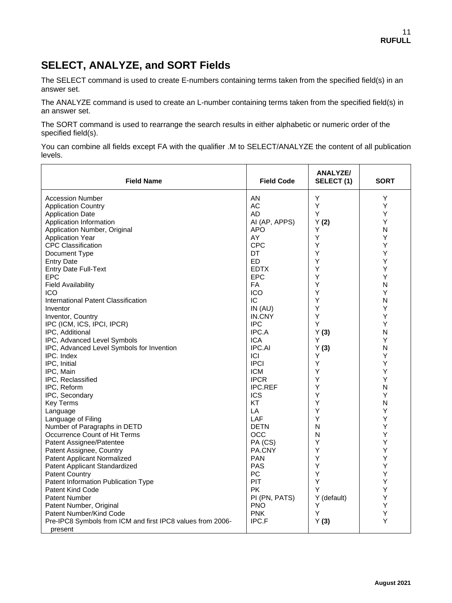## **SELECT, ANALYZE, and SORT Fields**

The SELECT command is used to create E-numbers containing terms taken from the specified field(s) in an answer set.

The ANALYZE command is used to create an L-number containing terms taken from the specified field(s) in an answer set.

The SORT command is used to rearrange the search results in either alphabetic or numeric order of the specified field(s).

You can combine all fields except FA with the qualifier .M to SELECT/ANALYZE the content of all publication levels.

| <b>Field Name</b>                                          | <b>Field Code</b> | ANALYZE/<br>SELECT(1) | <b>SORT</b> |
|------------------------------------------------------------|-------------------|-----------------------|-------------|
| <b>Accession Number</b>                                    | ΑN                | Υ                     | Y           |
| <b>Application Country</b>                                 | <b>AC</b>         | Υ                     | Y           |
| <b>Application Date</b>                                    | AD                | Υ                     | Y           |
| Application Information                                    | AI (AP, APPS)     | Y(2)                  | Y           |
| Application Number, Original                               | <b>APO</b>        | Υ                     | N           |
| <b>Application Year</b>                                    | AY                | Y                     | Υ           |
| <b>CPC Classification</b>                                  | <b>CPC</b>        | Υ                     | Y           |
| Document Type                                              | DT                | Y                     | Υ           |
| <b>Entry Date</b>                                          | ED                | Υ                     | Y           |
| <b>Entry Date Full-Text</b>                                | <b>EDTX</b>       | Υ                     | Υ           |
| <b>EPC</b>                                                 | <b>EPC</b>        | Y                     | Υ           |
| <b>Field Availability</b>                                  | FA                | Y                     | N           |
| <b>ICO</b>                                                 | <b>ICO</b>        | Y                     | Υ           |
| International Patent Classification                        | IC                | Y                     | N           |
| Inventor                                                   | IN(AU)            | Y                     | Υ           |
| Inventor, Country                                          | IN.CNY            | Y                     | Y           |
| IPC (ICM, ICS, IPCI, IPCR)                                 | <b>IPC</b>        | Υ                     | Y           |
| IPC, Additional                                            | IPC.A             | Y(3)                  | N           |
| IPC, Advanced Level Symbols                                | <b>ICA</b>        | Υ                     | Y           |
| IPC, Advanced Level Symbols for Invention                  | <b>IPC.AI</b>     | Y(3)                  | N           |
| IPC. Index                                                 | ICI               | Y                     | Υ           |
| IPC, Initial                                               | <b>IPCI</b>       | Υ                     | Υ           |
| IPC, Main                                                  | <b>ICM</b>        | Υ                     | Υ           |
| IPC, Reclassified                                          | <b>IPCR</b>       | Υ                     | Y           |
| IPC, Reform                                                | <b>IPC.REF</b>    | Y                     | N           |
| IPC, Secondary                                             | <b>ICS</b>        | Υ                     | Y           |
| <b>Key Terms</b>                                           | KT                | Y                     | N           |
| Language                                                   | LA                | Y                     | Y           |
| Language of Filing                                         | LAF               | Υ                     | Y           |
| Number of Paragraphs in DETD                               | <b>DETN</b>       | N                     | Υ           |
| Occurrence Count of Hit Terms                              | OCC               | N                     | Υ           |
| Patent Assignee/Patentee                                   | PA (CS)           | Y                     | Υ           |
| Patent Assignee, Country                                   | PA.CNY            | Y                     | Υ           |
| <b>Patent Applicant Normalized</b>                         | <b>PAN</b>        | Y                     | Υ           |
| Patent Applicant Standardized                              | <b>PAS</b>        | Y                     | Y           |
| <b>Patent Country</b>                                      | PC                | Y                     | Υ           |
| Patent Information Publication Type                        | PIT               | Y                     | Y           |
| <b>Patent Kind Code</b>                                    | <b>PK</b>         | Y                     | Y           |
| <b>Patent Number</b>                                       | PI (PN, PATS)     | Y (default)           | Υ           |
| Patent Number, Original                                    | <b>PNO</b>        | Y                     | Υ           |
| Patent Number/Kind Code                                    | <b>PNK</b>        | Y                     | Υ           |
| Pre-IPC8 Symbols from ICM and first IPC8 values from 2006- | IPC.F             | Y(3)                  | Y           |
| present                                                    |                   |                       |             |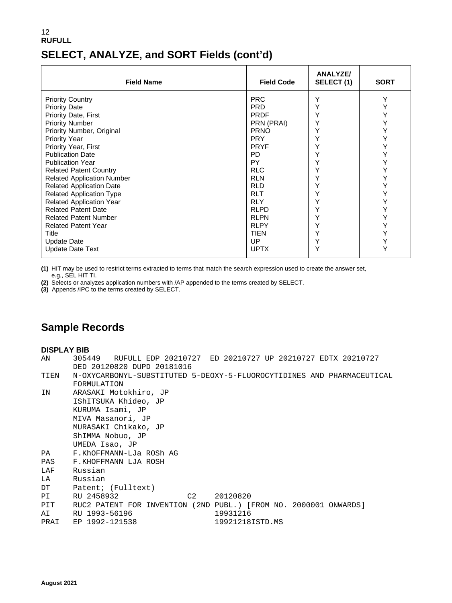## 12 **RUFULL SELECT, ANALYZE, and SORT Fields (cont'd)**

| <b>Field Name</b>                 | <b>Field Code</b> | <b>ANALYZE/</b><br>SELECT (1) | <b>SORT</b> |
|-----------------------------------|-------------------|-------------------------------|-------------|
| <b>Priority Country</b>           | <b>PRC</b>        | Υ                             | Y           |
| <b>Priority Date</b>              | <b>PRD</b>        | Υ                             |             |
| <b>Priority Date, First</b>       | <b>PRDF</b>       | Υ                             |             |
| <b>Priority Number</b>            | PRN (PRAI)        | Υ                             |             |
| Priority Number, Original         | <b>PRNO</b>       | Υ                             |             |
| <b>Priority Year</b>              | <b>PRY</b>        | Y                             |             |
| Priority Year, First              | <b>PRYF</b>       |                               |             |
| <b>Publication Date</b>           | PD.               | Υ                             |             |
| <b>Publication Year</b>           | PY.               | Υ                             |             |
| <b>Related Patent Country</b>     | <b>RLC</b>        | Υ                             |             |
| <b>Related Application Number</b> | <b>RLN</b>        | Υ                             |             |
| <b>Related Application Date</b>   | <b>RLD</b>        | Υ                             |             |
| <b>Related Application Type</b>   | <b>RLT</b>        | Υ                             |             |
| <b>Related Application Year</b>   | <b>RLY</b>        | Υ                             |             |
| <b>Related Patent Date</b>        | <b>RLPD</b>       | Υ                             |             |
| <b>Related Patent Number</b>      | <b>RLPN</b>       | Υ                             |             |
| <b>Related Patent Year</b>        | <b>RLPY</b>       | Υ                             |             |
| Title                             | TIEN              | Υ                             |             |
| <b>Update Date</b>                | UP.               | Υ                             |             |
| <b>Update Date Text</b>           | <b>UPTX</b>       | Υ                             |             |

**(1)** HIT may be used to restrict terms extracted to terms that match the search expression used to create the answer set, e.g., SEL HIT TI.

**(2)** Selects or analyzes application numbers with /AP appended to the terms created by SELECT.

**(3)** Appends /IPC to the terms created by SELECT.

# **Sample Records**

#### **DISPLAY BIB**

| 305449 RUFULL EDP 20210727 ED 20210727 UP 20210727 EDTX 20210727       |
|------------------------------------------------------------------------|
| DED 20120820 DUPD 20181016                                             |
| N-OXYCARBONYL-SUBSTITUTED 5-DEOXY-5-FLUOROCYTIDINES AND PHARMACEUTICAL |
| FORMULATION                                                            |
| ARASAKI Motokhiro, JP                                                  |
| IShITSUKA Khideo, JP                                                   |
| KURUMA Isami, JP                                                       |
| MIVA Masanori, JP                                                      |
| MURASAKI Chikako, JP                                                   |
| ShIMMA Nobuo, JP                                                       |
| UMEDA Isao, JP                                                         |
| PA F.KhOFFMANN-LJa ROSh AG                                             |
| F.KHOFFMANN LJA ROSH                                                   |
| Russian                                                                |
| LA Russian                                                             |
| DT Patent; (Fulltext)                                                  |
| RU 2458932<br>C2 20120820                                              |
| RUC2 PATENT FOR INVENTION (2ND PUBL.) [FROM NO. 2000001 ONWARDS]       |
| AI RU 1993-56196<br>19931216                                           |
| 19921218ISTD.MS<br>PRAI EP 1992-121538                                 |
|                                                                        |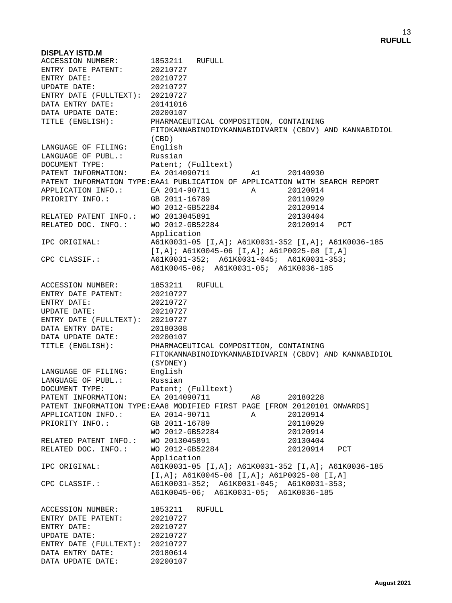### **DISPLAY ISTD.M** 1853211 RUFULL<br>20210727 ENTRY DATE PATENT: 20210727<br>ENTRY DATE: 20210727 ENTRY DATE: 20210727<br>
UPDATE DATE: 20210727 UPDATE DATE: ENTRY DATE (FULLTEXT): 20210727 DATA ENTRY DATE: 20141016 DATA UPDATE DATE: 20200107 TITLE (ENGLISH): PHARMACEUTICAL COMPOSITION, CONTAINING FITOKANNABINOIDYKANNABIDIVARIN (CBDV) AND KANNABIDIOL  $(CBD)$ LANGUAGE OF FILING: English LANGUAGE OF PUBL.: Russian DOCUMENT TYPE: Patent; (Fulltext) PATENT INFORMATION: EA 2014090711 A1 20140930 PATENT INFORMATION TYPE:EAA1 PUBLICATION OF APPLICATION WITH SEARCH REPORT APPLICATION INFO.: BA 2014-90711 A 20120914<br>PRIORITY INFO.: GB 2011-16789 20110929 PRIORITY INFO.: GB 2011-16789 20110929<br>WO 2012-GB52284 20120914 WO 2012-GB52284 20120914<br>WO 2013045891 20130404 RELATED PATENT INFO.: WO 2013045891 20130404 RELATED DOC. INFO.: WO 2012-GB52284 20120914 PCT Application<br>IPC ORIGINAL: <br>A61K0031-05 IPC ORIGINAL: A61K0031-05 [I,A]; A61K0031-352 [I,A]; A61K0036-185 [I,A]; A61K0045-06 [I,A]; A61P0025-08 [I,A]<br>CPC CLASSIF.: A61K0031-352; A61K0031-045; A61K0031-353; A61K0031-352; A61K0031-045; A61K0031-353; A61K0045-06; A61K0031-05; A61K0036-185 ACCESSION NUMBER: 1853211 RUFULL ENTRY DATE PATENT: 20210727 ENTRY DATE: 20210727<br>
UPDATE DATE: 20210727 UPDATE DATE: ENTRY DATE (FULLTEXT): 20210727<br>DATA ENTRY DATE: 20180308 DATA ENTRY DATE: DATA UPDATE DATE: 20200107<br>TITLE (ENGLISH): PHARMACE PHARMACEUTICAL COMPOSITION, CONTAINING FITOKANNABINOIDYKANNABIDIVARIN (CBDV) AND KANNABIDIOL (SYDNEY) LANGUAGE OF FILING: English LANGUAGE OF PUBL.: Russian DOCUMENT TYPE: Patent; (Fulltext) PATENT INFORMATION: EA 2014090711 A8 20180228 PATENT INFORMATION TYPE:EAA8 MODIFIED FIRST PAGE [FROM 20120101 ONWARDS] APPLICATION INFO.: EA 2014-90711 A 20120914<br>PRIORITY INFO.: GB 2011-16789 20110929 PRIORITY INFO.: GB 2011-16789 20110929<br>WO 2012-GB52284 20120914 WO 2012-GB52284 20120914<br>WO 2013045891 20130404 RELATED PATENT INFO.: WO 2013045891 20130404<br>RELATED DOC. INFO.: WO 2012-GB52284 20120914 WO 2012-GB52284 20120914 PCT Application<br>IPC ORIGINAL: <br>A61K0031-05 IPC ORIGINAL: A61K0031-05 [I,A]; A61K0031-352 [I,A]; A61K0036-185 [I,A]; A61K0045-06 [I,A]; A61P0025-08 [I,A] CPC CLASSIF.: A61K0031-352; A61K0031-045; A61K0031-353; A61K0045-06; A61K0031-05; A61K0036-185 ACCESSION NUMBER: 1853211 RUFULL ENTRY DATE PATENT: 20210727 ENTRY DATE: 20210727<br>
UPDATE DATE: 20210727 UPDATE DATE: ENTRY DATE (FULLTEXT): 20210727 DATA ENTRY DATE: 20180614<br>DATA UPDATE DATE: 20200107 DATA UPDATE DATE: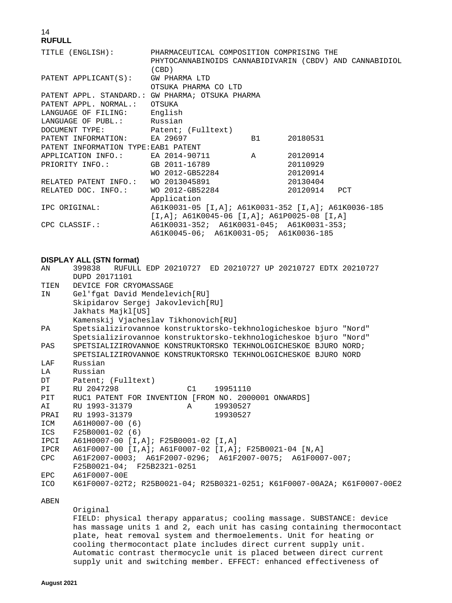| TITLE (ENGLISH): PHARMACEUTICAL COMPOSITION COMPRISING THE |                                                         |           |              |  |
|------------------------------------------------------------|---------------------------------------------------------|-----------|--------------|--|
|                                                            | PHYTOCANNABINOIDS CANNABIDIVARIN (CBDV) AND CANNABIDIOL |           |              |  |
|                                                            | (CBD)                                                   |           |              |  |
| $PATH$ $APPLICANT(S)$ :                                    | GW PHARMA LTD                                           |           |              |  |
|                                                            | OTSUKA PHARMA CO LTD                                    |           |              |  |
| PATENT APPL. STANDARD.: GW PHARMA; OTSUKA PHARMA           |                                                         |           |              |  |
| PATENT APPL. NORMAL.: OTSUKA                               |                                                         |           |              |  |
| LANGUAGE OF FILING: English                                |                                                         |           |              |  |
| LANGUAGE OF PUBL.: Russian                                 |                                                         |           |              |  |
| DOCUMENT TYPE: Patent; (Fulltext)                          |                                                         |           |              |  |
| PATENT INFORMATION: EA 29697                               |                                                         | <b>B1</b> | 20180531     |  |
| PATENT INFORMATION TYPE: EAB1 PATENT                       |                                                         |           |              |  |
| APPLICATION INFO.: EA 2014-90711 A                         |                                                         |           | 20120914     |  |
| PRIORITY INFO.: GB 2011-16789                              |                                                         |           | 20110929     |  |
|                                                            | WO 2012-GB52284                                         |           | 20120914     |  |
| RELATED PATENT INFO.: WO 2013045891                        |                                                         |           | 20130404     |  |
| RELATED DOC. INFO.: WO 2012-GB52284                        |                                                         |           | 20120914 PCT |  |
|                                                            | Application                                             |           |              |  |
| IPC ORIGINAL:                                              |                                                         |           |              |  |
|                                                            | $[I,A]$ ; A61K0045-06 $[I,A]$ ; A61P0025-08 $[I,A]$     |           |              |  |
| CPC CLASSIF.:                                              | A61K0031-352; A61K0031-045; A61K0031-353;               |           |              |  |
|                                                            | A61K0045-06; A61K0031-05; A61K0036-185                  |           |              |  |

#### **DISPLAY ALL (STN format)**

| ΑN         | 399838 RUFULL EDP 20210727 ED 20210727 UP 20210727 EDTX 20210727<br>DUPD 20171101 |  |  |  |  |
|------------|-----------------------------------------------------------------------------------|--|--|--|--|
| TIEN       | DEVICE FOR CRYOMASSAGE                                                            |  |  |  |  |
| IN         | Gel'fgat David Mendelevich[RU]                                                    |  |  |  |  |
|            | Skipidarov Sergej Jakovlevich[RU]                                                 |  |  |  |  |
|            | Jakhats Majkl[US]                                                                 |  |  |  |  |
|            | Kamenskij Vjacheslav Tikhonovich[RU]                                              |  |  |  |  |
| PA         | Spetsializirovannoe konstruktorsko-tekhnologicheskoe bjuro "Nord"                 |  |  |  |  |
|            | Spetsializirovannoe konstruktorsko-tekhnologicheskoe bjuro "Nord"                 |  |  |  |  |
| PAS        | SPETSIALIZIROVANNOE KONSTRUKTORSKO TEKHNOLOGICHESKOE BJURO NORD;                  |  |  |  |  |
|            | SPETSIALIZIROVANNOE KONSTRUKTORSKO TEKHNOLOGICHESKOE BJURO NORD                   |  |  |  |  |
| LAF        | Russian                                                                           |  |  |  |  |
| LA         | Russian                                                                           |  |  |  |  |
|            |                                                                                   |  |  |  |  |
| DT         | Patent; (Fulltext)                                                                |  |  |  |  |
| PI         | RU 2047298<br>C1<br>19951110                                                      |  |  |  |  |
| PIT        | RUC1 PATENT FOR INVENTION [FROM NO. 2000001 ONWARDS]                              |  |  |  |  |
| AI         | RU 1993-31379<br>19930527<br>$\mathbb A$                                          |  |  |  |  |
| PRAI       | RU 1993-31379<br>19930527                                                         |  |  |  |  |
| ICM        | A61H0007-00 (6)                                                                   |  |  |  |  |
| ICS        | $F25B0001-02$ (6)                                                                 |  |  |  |  |
| IPCI       | A61H0007-00 [I,A]; F25B0001-02 [I,A]                                              |  |  |  |  |
| IPCR       | A61F0007-00 [I,A]; A61F0007-02 [I,A]; F25B0021-04 [N,A]                           |  |  |  |  |
| CPC.       | A61F2007-0003; A61F2007-0296; A61F2007-0075; A61F0007-007;                        |  |  |  |  |
|            | F25B0021-04; F25B2321-0251                                                        |  |  |  |  |
| <b>EPC</b> | A61F0007-00E                                                                      |  |  |  |  |
| <b>ICO</b> | K61F0007-02T2; R25B0021-04; R25B0321-0251; K61F0007-00A2A; K61F0007-00E2          |  |  |  |  |
| ABEN       |                                                                                   |  |  |  |  |

### Original

 FIELD: physical therapy apparatus; cooling massage. SUBSTANCE: device has massage units 1 and 2, each unit has casing containing thermocontact plate, heat removal system and thermoelements. Unit for heating or cooling thermocontact plate includes direct current supply unit. Automatic contrast thermocycle unit is placed between direct current supply unit and switching member. EFFECT: enhanced effectiveness of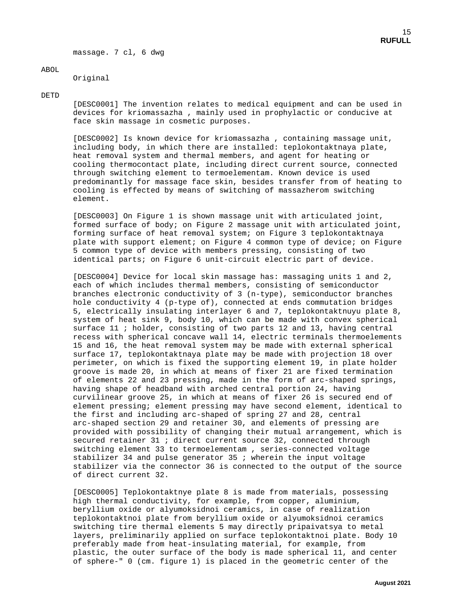massage. 7 cl, 6 dwg

#### ABOL

Original

#### DETD

 [DESC0001] The invention relates to medical equipment and can be used in devices for kriomassazha , mainly used in prophylactic or conducive at face skin massage in cosmetic purposes.

 [DESC0002] Is known device for kriomassazha , containing massage unit, including body, in which there are installed: teplokontaktnaya plate, heat removal system and thermal members, and agent for heating or cooling thermocontact plate, including direct current source, connected through switching element to termoelementam. Known device is used predominantly for massage face skin, besides transfer from of heating to cooling is effected by means of switching of massazherom switching element.

 [DESC0003] On Figure 1 is shown massage unit with articulated joint, formed surface of body; on Figure 2 massage unit with articulated joint, forming surface of heat removal system; on Figure 3 teplokontaktnaya plate with support element; on Figure 4 common type of device; on Figure 5 common type of device with members pressing, consisting of two identical parts; on Figure 6 unit-circuit electric part of device.

 [DESC0004] Device for local skin massage has: massaging units 1 and 2, each of which includes thermal members, consisting of semiconductor branches electronic conductivity of 3 (n-type), semiconductor branches hole conductivity 4 (p-type of), connected at ends commutation bridges 5, electrically insulating interlayer 6 and 7, teplokontaktnuyu plate 8, system of heat sink 9, body 10, which can be made with convex spherical surface 11 ; holder, consisting of two parts 12 and 13, having central recess with spherical concave wall 14, electric terminals thermoelements 15 and 16, the heat removal system may be made with external spherical surface 17, teplokontaktnaya plate may be made with projection 18 over perimeter, on which is fixed the supporting element 19, in plate holder groove is made 20, in which at means of fixer 21 are fixed termination of elements 22 and 23 pressing, made in the form of arc-shaped springs, having shape of headband with arched central portion 24, having curvilinear groove 25, in which at means of fixer 26 is secured end of element pressing; element pressing may have second element, identical to the first and including arc-shaped of spring 27 and 28, central arc-shaped section 29 and retainer 30, and elements of pressing are provided with possibility of changing their mutual arrangement, which is secured retainer 31 ; direct current source 32, connected through switching element 33 to termoelementam , series-connected voltage stabilizer 34 and pulse generator 35 ; wherein the input voltage stabilizer via the connector 36 is connected to the output of the source of direct current 32.

 [DESC0005] Teplokontaktnye plate 8 is made from materials, possessing high thermal conductivity, for example, from copper, aluminium, beryllium oxide or alyumoksidnoi ceramics, in case of realization teplokontaktnoi plate from beryllium oxide or alyumoksidnoi ceramics switching tire thermal elements 5 may directly pripaivatsya to metal layers, preliminarily applied on surface teplokontaktnoi plate. Body 10 preferably made from heat-insulating material, for example, from plastic, the outer surface of the body is made spherical 11, and center of sphere-" 0 (cm. figure 1) is placed in the geometric center of the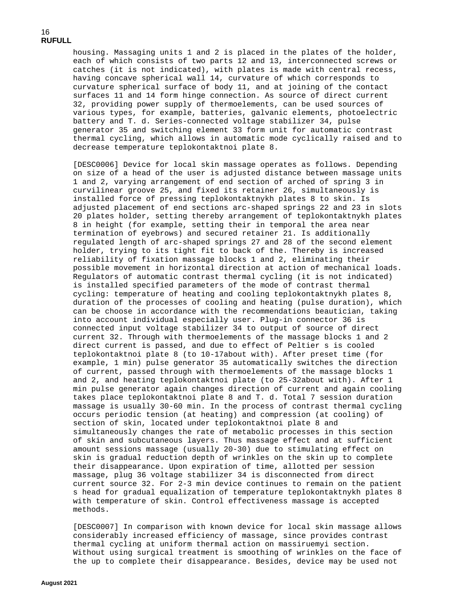housing. Massaging units 1 and 2 is placed in the plates of the holder, each of which consists of two parts 12 and 13, interconnected screws or catches (it is not indicated), with plates is made with central recess, having concave spherical wall 14, curvature of which corresponds to curvature spherical surface of body 11, and at joining of the contact surfaces 11 and 14 form hinge connection. As source of direct current 32, providing power supply of thermoelements, can be used sources of various types, for example, batteries, galvanic elements, photoelectric battery and T. d. Series-connected voltage stabilizer 34, pulse generator 35 and switching element 33 form unit for automatic contrast thermal cycling, which allows in automatic mode cyclically raised and to decrease temperature teplokontaktnoi plate 8.

 [DESC0006] Device for local skin massage operates as follows. Depending on size of a head of the user is adjusted distance between massage units 1 and 2, varying arrangement of end section of arched of spring 3 in curvilinear groove 25, and fixed its retainer 26, simultaneously is installed force of pressing teplokontaktnykh plates 8 to skin. Is adjusted placement of end sections arc-shaped springs 22 and 23 in slots 20 plates holder, setting thereby arrangement of teplokontaktnykh plates 8 in height (for example, setting their in temporal the area near termination of eyebrows) and secured retainer 21. Is additionally regulated length of arc-shaped springs 27 and 28 of the second element holder, trying to its tight fit to back of the. Thereby is increased reliability of fixation massage blocks 1 and 2, eliminating their possible movement in horizontal direction at action of mechanical loads. Regulators of automatic contrast thermal cycling (it is not indicated) is installed specified parameters of the mode of contrast thermal cycling: temperature of heating and cooling teplokontaktnykh plates 8, duration of the processes of cooling and heating (pulse duration), which can be choose in accordance with the recommendations beautician, taking into account individual especially user. Plug-in connector 36 is connected input voltage stabilizer 34 to output of source of direct current 32. Through with thermoelements of the massage blocks 1 and 2 direct current is passed, and due to effect of Peltier s is cooled teplokontaktnoi plate 8 (to 10-17about with). After preset time (for example, 1 min) pulse generator 35 automatically switches the direction of current, passed through with thermoelements of the massage blocks 1 and 2, and heating teplokontaktnoi plate (to 25-32about with). After 1 min pulse generator again changes direction of current and again cooling takes place teplokontaktnoi plate 8 and T. d. Total 7 session duration massage is usually 30-60 min. In the process of contrast thermal cycling occurs periodic tension (at heating) and compression (at cooling) of section of skin, located under teplokontaktnoi plate 8 and simultaneously changes the rate of metabolic processes in this section of skin and subcutaneous layers. Thus massage effect and at sufficient amount sessions massage (usually 20-30) due to stimulating effect on skin is gradual reduction depth of wrinkles on the skin up to complete their disappearance. Upon expiration of time, allotted per session massage, plug 36 voltage stabilizer 34 is disconnected from direct current source 32. For 2-3 min device continues to remain on the patient s head for gradual equalization of temperature teplokontaktnykh plates 8 with temperature of skin. Control effectiveness massage is accepted methods.

 [DESC0007] In comparison with known device for local skin massage allows considerably increased efficiency of massage, since provides contrast thermal cycling at uniform thermal action on massiruemyi section. Without using surgical treatment is smoothing of wrinkles on the face of the up to complete their disappearance. Besides, device may be used not